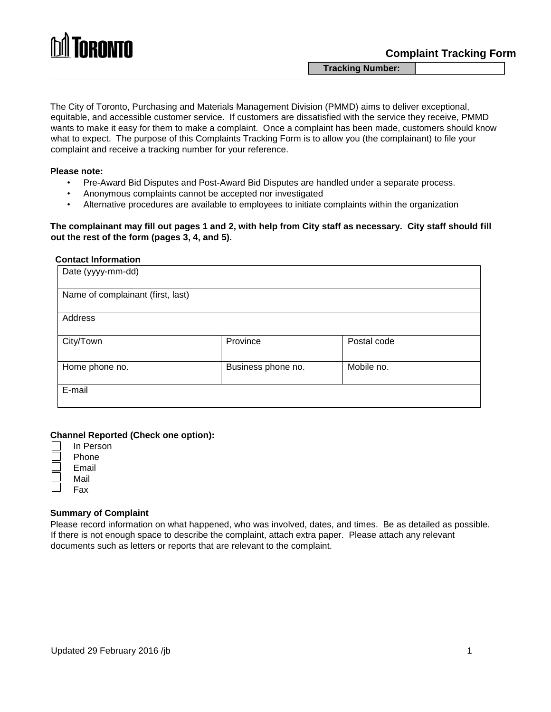

**Tracking Number:** 

The City of Toronto, Purchasing and Materials Management Division (PMMD) aims to deliver exceptional, equitable, and accessible customer service. If customers are dissatisfied with the service they receive, PMMD wants to make it easy for them to make a complaint. Once a complaint has been made, customers should know what to expect. The purpose of this Complaints Tracking Form is to allow you (the complainant) to file your complaint and receive a tracking number for your reference.

#### **Please note:**

- Pre-Award Bid Disputes and Post-Award Bid Disputes are handled under a separate process.
- Anonymous complaints cannot be accepted nor investigated
- Alternative procedures are available to employees to initiate complaints within the organization

### **The complainant may fill out pages 1 and 2, with help from City staff as necessary. City staff should fill out the rest of the form (pages 3, 4, and 5).**

#### **Contact Information**

| Date (yyyy-mm-dd)                 |                    |             |  |  |  |
|-----------------------------------|--------------------|-------------|--|--|--|
| Name of complainant (first, last) |                    |             |  |  |  |
| Address                           |                    |             |  |  |  |
| City/Town                         | Province           | Postal code |  |  |  |
| Home phone no.                    | Business phone no. | Mobile no.  |  |  |  |
| E-mail                            |                    |             |  |  |  |

#### **Channel Reported (Check one option):**

| In Person |
|-----------|
| Phone     |
| Email     |
| Mail      |
| Fax       |

#### **Summary of Complaint**

Please record information on what happened, who was involved, dates, and times. Be as detailed as possible. If there is not enough space to describe the complaint, attach extra paper. Please attach any relevant documents such as letters or reports that are relevant to the complaint.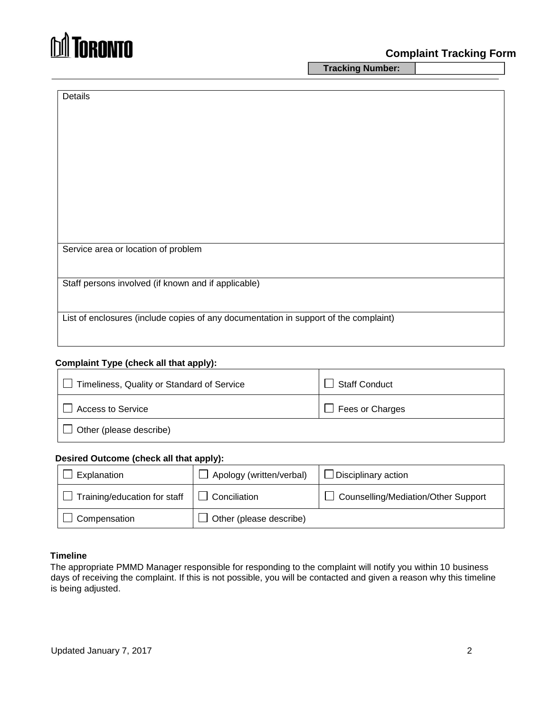

**Tracking Number:** 

| Details                                                                              |
|--------------------------------------------------------------------------------------|
|                                                                                      |
|                                                                                      |
|                                                                                      |
|                                                                                      |
|                                                                                      |
|                                                                                      |
|                                                                                      |
|                                                                                      |
|                                                                                      |
|                                                                                      |
|                                                                                      |
| Service area or location of problem                                                  |
|                                                                                      |
| Staff persons involved (if known and if applicable)                                  |
|                                                                                      |
|                                                                                      |
| List of enclosures (include copies of any documentation in support of the complaint) |

## **Complaint Type (check all that apply):**

| Timeliness, Quality or Standard of Service | <b>Staff Conduct</b> |  |
|--------------------------------------------|----------------------|--|
| <b>Access to Service</b>                   | Fees or Charges      |  |
| Other (please describe)                    |                      |  |

### **Desired Outcome (check all that apply):**

| Explanation                  | $\Box$ Apology (written/verbal) | $\Box$ Disciplinary action            |
|------------------------------|---------------------------------|---------------------------------------|
| Training/education for staff | $\Box$ Conciliation             | □ Counselling/Mediation/Other Support |
| $\Box$ Compensation          | $\Box$ Other (please describe)  |                                       |

## **Timeline**

The appropriate PMMD Manager responsible for responding to the complaint will notify you within 10 business days of receiving the complaint. If this is not possible, you will be contacted and given a reason why this timeline is being adjusted.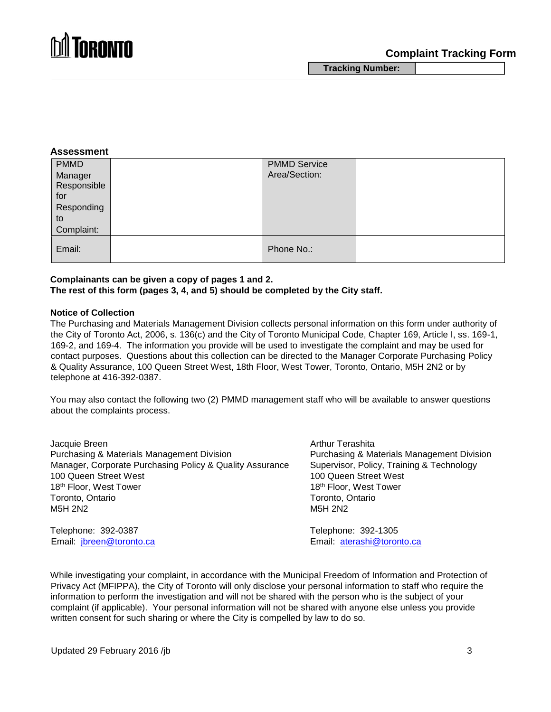

**Tracking Number:** 

#### **Assessment**

| <b>PMMD</b><br>Manager<br>Responsible<br>for<br>Responding<br>to<br>Complaint: | <b>PMMD Service</b><br>Area/Section: |  |
|--------------------------------------------------------------------------------|--------------------------------------|--|
| Email:                                                                         | Phone No.:                           |  |

#### **Complainants can be given a copy of pages 1 and 2. The rest of this form (pages 3, 4, and 5) should be completed by the City staff.**

#### **Notice of Collection**

The Purchasing and Materials Management Division collects personal information on this form under authority of the City of Toronto Act, 2006, s. 136(c) and the City of Toronto Municipal Code, Chapter 169, Article I, ss. 169-1, 169-2, and 169-4. The information you provide will be used to investigate the complaint and may be used for contact purposes. Questions about this collection can be directed to the Manager Corporate Purchasing Policy & Quality Assurance, 100 Queen Street West, 18th Floor, West Tower, Toronto, Ontario, M5H 2N2 or by telephone at 416-392-0387.

You may also contact the following two (2) PMMD management staff who will be available to answer questions about the complaints process.

| Jacquie Breen                                            | <b>Arthur Terashita</b>                    |
|----------------------------------------------------------|--------------------------------------------|
| Purchasing & Materials Management Division               | Purchasing & Materials Management Division |
| Manager, Corporate Purchasing Policy & Quality Assurance | Supervisor, Policy, Training & Technology  |
| 100 Queen Street West                                    | 100 Queen Street West                      |
| 18th Floor, West Tower                                   | 18th Floor, West Tower                     |
| Toronto, Ontario                                         | Toronto, Ontario                           |
| M5H 2N2                                                  | M <sub>5</sub> H 2N <sub>2</sub>           |
| Telephone: 392-0387                                      | Telephone: 392-1305                        |
| Email: jbreen@toronto.ca                                 | Email: aterashi@toronto.ca                 |

While investigating your complaint, in accordance with the Municipal Freedom of Information and Protection of Privacy Act (MFIPPA), the City of Toronto will only disclose your personal information to staff who require the information to perform the investigation and will not be shared with the person who is the subject of your complaint (if applicable). Your personal information will not be shared with anyone else unless you provide written consent for such sharing or where the City is compelled by law to do so.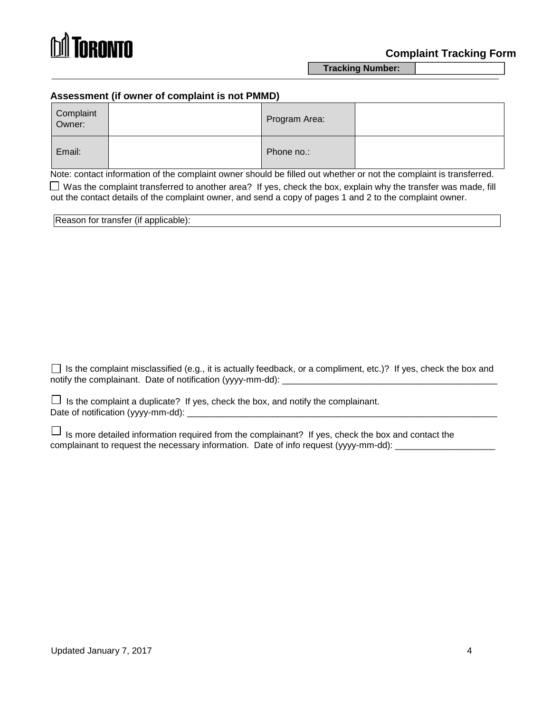

**Tracking Number:** 

## **Assessment (if owner of complaint is not PMMD)**

| Complaint<br>Owner: | Program Area: |  |
|---------------------|---------------|--|
| Email:              | Phone no.:    |  |

Note: contact information of the complaint owner should be filled out whether or not the complaint is transferred.

 $\Box$  Was the complaint transferred to another area? If yes, check the box, explain why the transfer was made, fill out the contact details of the complaint owner, and send a copy of pages 1 and 2 to the complaint owner.

| Reason for transfer (if applicable): |  |
|--------------------------------------|--|
|--------------------------------------|--|

 $\Box$  Is the complaint misclassified (e.g., it is actually feedback, or a compliment, etc.)? If yes, check the box and notify the complainant. Date of notification (yyyy-mm-dd): \_\_\_\_\_\_\_\_\_\_\_\_\_\_\_\_\_\_\_\_\_\_\_\_\_\_\_\_\_\_\_\_\_\_\_\_\_\_\_\_\_\_\_

| $\Box$ Is the complaint a duplicate? If yes, check the box, and notify the complainant. |
|-----------------------------------------------------------------------------------------|
| Date of notification (yyyy-mm-dd):                                                      |

 $\Box$  Is more detailed information required from the complainant? If yes, check the box and contact the complainant to request the necessary information. Date of info request (yyyy-mm-dd):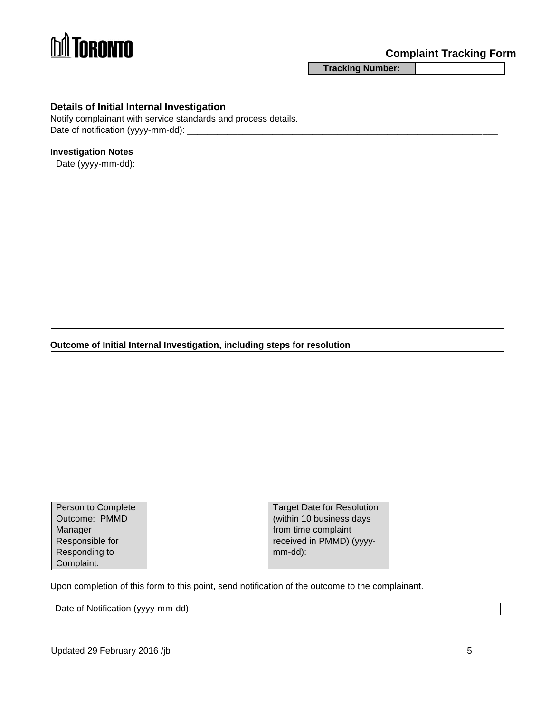

**Tracking Number:** 

## **Details of Initial Internal Investigation**

Notify complainant with service standards and process details. Date of notification (yyyy-mm-dd): \_\_\_\_\_\_

#### **Investigation Notes**

Date (yyyy-mm-dd):

**Outcome of Initial Internal Investigation, including steps for resolution** 

| Person to Complete | Target Date for Resolution |  |
|--------------------|----------------------------|--|
| Outcome: PMMD      | (within 10 business days   |  |
| Manager            | from time complaint        |  |
| Responsible for    | received in PMMD) (yyyy-   |  |
| Responding to      | $mm$ -dd $)$ :             |  |
| Complaint:         |                            |  |

Upon completion of this form to this point, send notification of the outcome to the complainant.

Date of Notification (yyyy-mm-dd):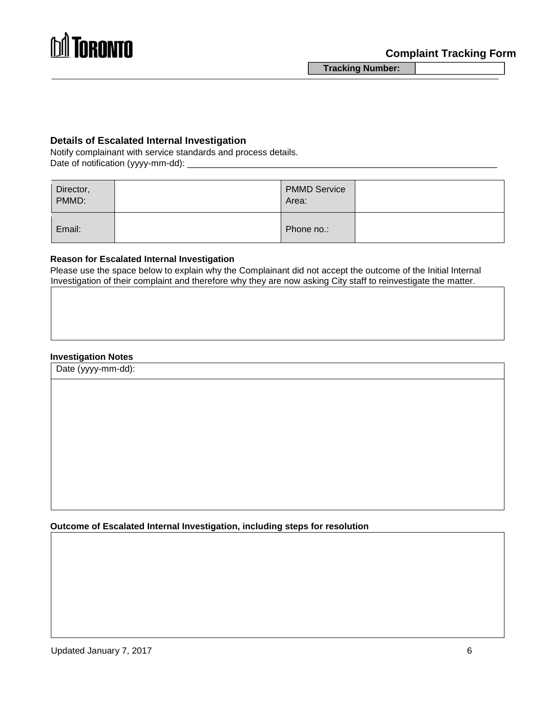

**Tracking Number:** 

## **Details of Escalated Internal Investigation**

Notify complainant with service standards and process details. Date of notification (yyyy-mm-dd):

| Director,<br>PMMD: | <b>PMMD Service</b><br>Area: |  |
|--------------------|------------------------------|--|
| Email:             | Phone no.:                   |  |

## **Reason for Escalated Internal Investigation**

Please use the space below to explain why the Complainant did not accept the outcome of the Initial Internal Investigation of their complaint and therefore why they are now asking City staff to reinvestigate the matter.

## **Investigation Notes**

Date (yyyy-mm-dd):

**Outcome of Escalated Internal Investigation, including steps for resolution**